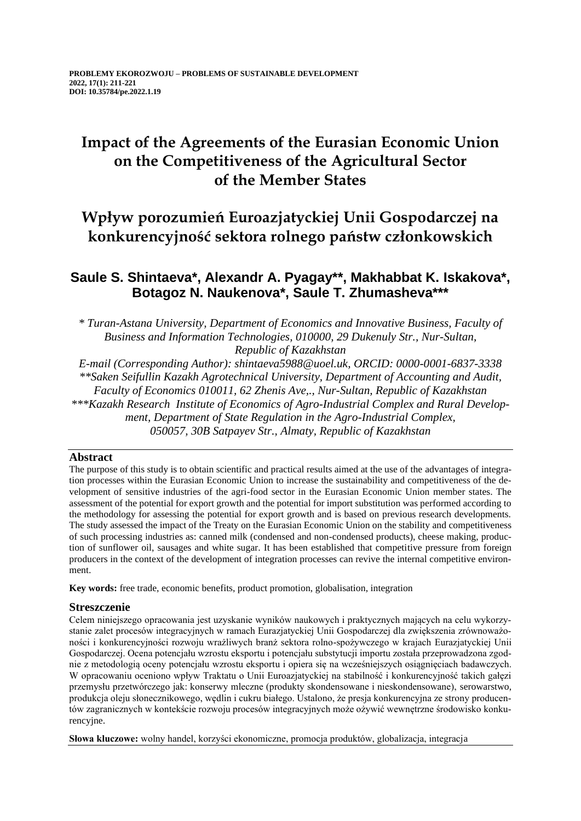# **Impact of the Agreements of the Eurasian Economic Union on the Competitiveness of the Agricultural Sector of the Member States**

## **Wpływ porozumień Euroazjatyckiej Unii Gospodarczej na konkurencyjność sektora rolnego państw członkowskich**

## **Saule S. Shintaeva\*, Alexandr A. Pyagay\*\*, Makhabbat K. Iskakova\*, Botagoz N. Naukenova\*, Saule T. Zhumasheva\*\*\***

*\* Turan-Astana University, Department of Economics and Innovative Business, Faculty of Business and Information Technologies, 010000, 29 Dukenuly Str., Nur-Sultan, Republic of Kazakhstan*

*E-mail (Corresponding Author): shintaeva5988@uoel.uk, ORCID: 0000-0001-6837-3338 \*\*Saken Seifullin Kazakh Agrotechnical University, Department of Accounting and Audit, Faculty of Economics 010011, 62 Zhenis Ave,., Nur-Sultan, Republic of Kazakhstan \*\*\*Kazakh Research Institute of Economics of Agro-Industrial Complex and Rural Development, Department of State Regulation in the Agro-Industrial Complex, 050057, 30B Satpayev Str., Almaty, Republic of Kazakhstan*

### **Abstract**

The purpose of this study is to obtain scientific and practical results aimed at the use of the advantages of integration processes within the Eurasian Economic Union to increase the sustainability and competitiveness of the development of sensitive industries of the agri-food sector in the Eurasian Economic Union member states. The assessment of the potential for export growth and the potential for import substitution was performed according to the methodology for assessing the potential for export growth and is based on previous research developments. The study assessed the impact of the Treaty on the Eurasian Economic Union on the stability and competitiveness of such processing industries as: canned milk (condensed and non-condensed products), cheese making, production of sunflower oil, sausages and white sugar. It has been established that competitive pressure from foreign producers in the context of the development of integration processes can revive the internal competitive environment.

**Key words:** free trade, economic benefits, product promotion, globalisation, integration

### **Streszczenie**

Celem niniejszego opracowania jest uzyskanie wyników naukowych i praktycznych mających na celu wykorzystanie zalet procesów integracyjnych w ramach Eurazjatyckiej Unii Gospodarczej dla zwiększenia zrównoważoności i konkurencyjności rozwoju wrażliwych branż sektora rolno-spożywczego w krajach Eurazjatyckiej Unii Gospodarczej. Ocena potencjału wzrostu eksportu i potencjału substytucji importu została przeprowadzona zgodnie z metodologią oceny potencjału wzrostu eksportu i opiera się na wcześniejszych osiągnięciach badawczych. W opracowaniu oceniono wpływ Traktatu o Unii Euroazjatyckiej na stabilność i konkurencyjność takich gałęzi przemysłu przetwórczego jak: konserwy mleczne (produkty skondensowane i nieskondensowane), serowarstwo, produkcja oleju słonecznikowego, wędlin i cukru białego. Ustalono, że presja konkurencyjna ze strony producentów zagranicznych w kontekście rozwoju procesów integracyjnych może ożywić wewnętrzne środowisko konkurencyjne.

**Słowa kluczowe:** wolny handel, korzyści ekonomiczne, promocja produktów, globalizacja, integracja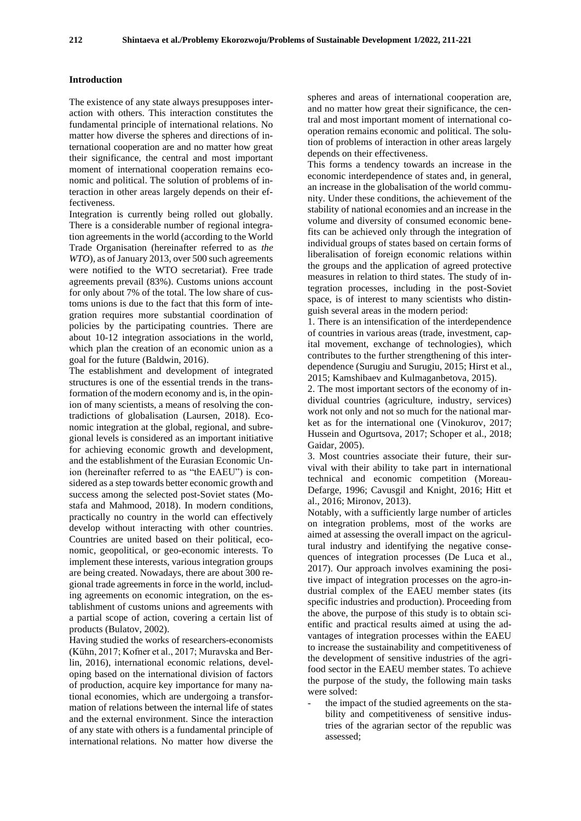#### **Introduction**

The existence of any state always presupposes interaction with others. This interaction constitutes the fundamental principle of international relations. No matter how diverse the spheres and directions of international cooperation are and no matter how great their significance, the central and most important moment of international cooperation remains economic and political. The solution of problems of interaction in other areas largely depends on their effectiveness.

Integration is currently being rolled out globally. There is a considerable number of regional integration agreements in the world (according to the World Trade Organisation (hereinafter referred to as *the WTO*), as of January 2013, over 500 such agreements were notified to the WTO secretariat). Free trade agreements prevail (83%). Customs unions account for only about 7% of the total. The low share of customs unions is due to the fact that this form of integration requires more substantial coordination of policies by the participating countries. There are about 10-12 integration associations in the world, which plan the creation of an economic union as a goal for the future (Baldwin, 2016).

The establishment and development of integrated structures is one of the essential trends in the transformation of the modern economy and is, in the opinion of many scientists, a means of resolving the contradictions of globalisation (Laursen, 2018). Economic integration at the global, regional, and subregional levels is considered as an important initiative for achieving economic growth and development, and the establishment of the Eurasian Economic Union (hereinafter referred to as "the EAEU") is considered as a step towards better economic growth and success among the selected post-Soviet states (Mostafa and Mahmood, 2018). In modern conditions, practically no country in the world can effectively develop without interacting with other countries. Countries are united based on their political, economic, geopolitical, or geo-economic interests. To implement these interests, various integration groups are being created. Nowadays, there are about 300 regional trade agreements in force in the world, including agreements on economic integration, on the establishment of customs unions and agreements with a partial scope of action, covering a certain list of products (Bulatov, 2002).

Having studied the works of researchers-economists (Kühn, 2017; Kofner et al., 2017; Muravska and Berlin, 2016), international economic relations, developing based on the international division of factors of production, acquire key importance for many national economies, which are undergoing a transformation of relations between the internal life of states and the external environment. Since the interaction of any state with others is a fundamental principle of international relations. No matter how diverse the

spheres and areas of international cooperation are, and no matter how great their significance, the central and most important moment of international cooperation remains economic and political. The solution of problems of interaction in other areas largely depends on their effectiveness.

This forms a tendency towards an increase in the economic interdependence of states and, in general, an increase in the globalisation of the world community. Under these conditions, the achievement of the stability of national economies and an increase in the volume and diversity of consumed economic benefits can be achieved only through the integration of individual groups of states based on certain forms of liberalisation of foreign economic relations within the groups and the application of agreed protective measures in relation to third states. The study of integration processes, including in the post-Soviet space, is of interest to many scientists who distinguish several areas in the modern period:

1. There is an intensification of the interdependence of countries in various areas (trade, investment, capital movement, exchange of technologies), which contributes to the further strengthening of this interdependence (Surugiu and Surugiu, 2015; Hirst et al., 2015; Kamshibaev and Kulmaganbetova, 2015).

2. The most important sectors of the economy of individual countries (agriculture, industry, services) work not only and not so much for the national market as for the international one (Vinokurov, 2017; Hussein and Ogurtsova, 2017; Schoper et al., 2018; Gaidar, 2005).

3. Most countries associate their future, their survival with their ability to take part in international technical and economic competition (Moreau-Defarge, 1996; Cavusgil and Knight, 2016; Hitt et al., 2016; Mironov, 2013).

Notably, with a sufficiently large number of articles on integration problems, most of the works are aimed at assessing the overall impact on the agricultural industry and identifying the negative consequences of integration processes (De Luca et al., 2017). Our approach involves examining the positive impact of integration processes on the agro-industrial complex of the EAEU member states (its specific industries and production). Proceeding from the above, the purpose of this study is to obtain scientific and practical results aimed at using the advantages of integration processes within the EAEU to increase the sustainability and competitiveness of the development of sensitive industries of the agrifood sector in the EAEU member states. To achieve the purpose of the study, the following main tasks were solved:

the impact of the studied agreements on the stability and competitiveness of sensitive industries of the agrarian sector of the republic was assessed;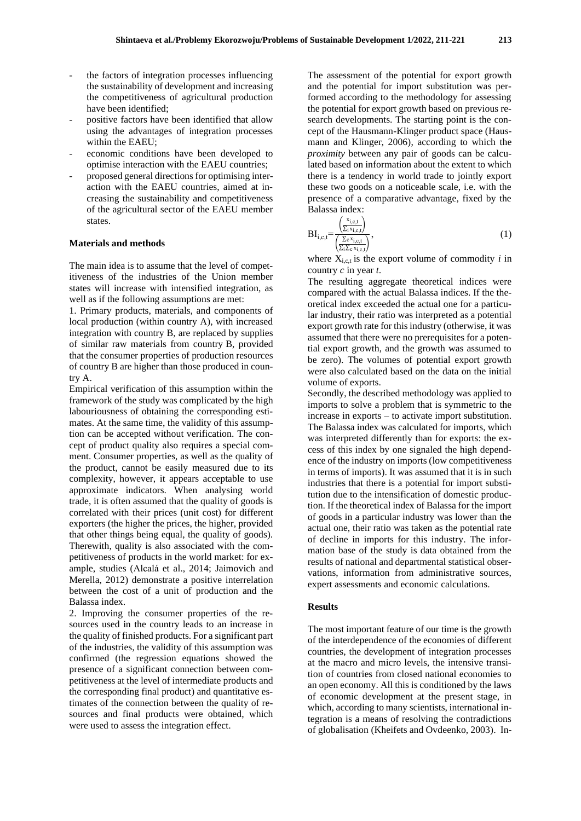- the factors of integration processes influencing the sustainability of development and increasing the competitiveness of agricultural production have been identified;
- positive factors have been identified that allow using the advantages of integration processes within the EAEU;
- economic conditions have been developed to optimise interaction with the EAEU countries;
- proposed general directions for optimising interaction with the EAEU countries, aimed at increasing the sustainability and competitiveness of the agricultural sector of the EAEU member states.

#### **Materials and methods**

The main idea is to assume that the level of competitiveness of the industries of the Union member states will increase with intensified integration, as well as if the following assumptions are met:

1. Primary products, materials, and components of local production (within country A), with increased integration with country B, are replaced by supplies of similar raw materials from country B, provided that the consumer properties of production resources of country B are higher than those produced in country A.

Empirical verification of this assumption within the framework of the study was complicated by the high labouriousness of obtaining the corresponding estimates. At the same time, the validity of this assumption can be accepted without verification. The concept of product quality also requires a special comment. Consumer properties, as well as the quality of the product, cannot be easily measured due to its complexity, however, it appears acceptable to use approximate indicators. When analysing world trade, it is often assumed that the quality of goods is correlated with their prices (unit cost) for different exporters (the higher the prices, the higher, provided that other things being equal, the quality of goods). Therewith, quality is also associated with the competitiveness of products in the world market: for example, studies (Alcalá et al., 2014; Jaimovich and Merella, 2012) demonstrate a positive interrelation between the cost of a unit of production and the Balassa index.

2. Improving the consumer properties of the resources used in the country leads to an increase in the quality of finished products. For a significant part of the industries, the validity of this assumption was confirmed (the regression equations showed the presence of a significant connection between competitiveness at the level of intermediate products and the corresponding final product) and quantitative estimates of the connection between the quality of resources and final products were obtained, which were used to assess the integration effect.

The assessment of the potential for export growth and the potential for import substitution was performed according to the methodology for assessing the potential for export growth based on previous research developments. The starting point is the concept of the Hausmann-Klinger product space (Hausmann and Klinger, 2006), according to which the *proximity* between any pair of goods can be calculated based on information about the extent to which there is a tendency in world trade to jointly export these two goods on a noticeable scale, i.e. with the presence of a comparative advantage, fixed by the Balassa index:

$$
BI_{i,c,t} = \frac{\left(\frac{x_{i,c,t}}{\sum_{i} x_{i,c,t}}\right)}{\left(\frac{\sum_{c} x_{i,c,t}}{\sum_{i} \sum_{c} x_{i,c,t}}\right)},\tag{1}
$$

where  $X_{i,c,t}$  is the export volume of commodity *i* in country *c* in year *t*.

The resulting aggregate theoretical indices were compared with the actual Balassa indices. If the theoretical index exceeded the actual one for a particular industry, their ratio was interpreted as a potential export growth rate for this industry (otherwise, it was assumed that there were no prerequisites for a potential export growth, and the growth was assumed to be zero). The volumes of potential export growth were also calculated based on the data on the initial volume of exports.

Secondly, the described methodology was applied to imports to solve a problem that is symmetric to the increase in exports – to activate import substitution. The Balassa index was calculated for imports, which was interpreted differently than for exports: the excess of this index by one signaled the high dependence of the industry on imports (low competitiveness in terms of imports). It was assumed that it is in such industries that there is a potential for import substitution due to the intensification of domestic production. If the theoretical index of Balassa for the import of goods in a particular industry was lower than the actual one, their ratio was taken as the potential rate of decline in imports for this industry. The information base of the study is data obtained from the results of national and departmental statistical observations, information from administrative sources, expert assessments and economic calculations.

#### **Results**

The most important feature of our time is the growth of the interdependence of the economies of different countries, the development of integration processes at the macro and micro levels, the intensive transition of countries from closed national economies to an open economy. All this is conditioned by the laws of economic development at the present stage, in which, according to many scientists, international integration is a means of resolving the contradictions of globalisation (Kheifets and Ovdeenko, 2003). In-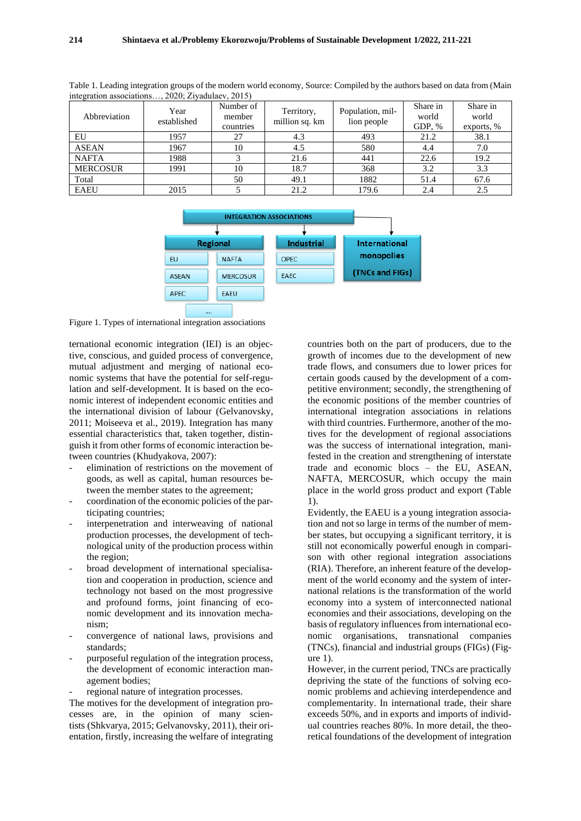| $m$ egration associations, $2020$ , $21$ yaquiaev, $2013$ ) |                     |                                  |                              |                                 |                               |                                 |  |
|-------------------------------------------------------------|---------------------|----------------------------------|------------------------------|---------------------------------|-------------------------------|---------------------------------|--|
| Abbreviation                                                | Year<br>established | Number of<br>member<br>countries | Territory,<br>million sq. km | Population, mil-<br>lion people | Share in<br>world<br>GDP, $%$ | Share in<br>world<br>exports, % |  |
| EU                                                          | 1957                | 27                               | 4.3                          | 493                             | 21.2                          | 38.1                            |  |
| <b>ASEAN</b>                                                | 1967                | 10                               | 4.5                          | 580                             | 4.4                           | 7.0                             |  |
| <b>NAFTA</b>                                                | 1988                |                                  | 21.6                         | 441                             | 22.6                          | 19.2                            |  |
| <b>MERCOSUR</b>                                             | 1991                | 10                               | 18.7                         | 368                             | 3.2                           | 3.3                             |  |
| Total                                                       |                     | 50                               | 49.1                         | 1882                            | 51.4                          | 67.6                            |  |
| <b>EAEU</b>                                                 | 2015                |                                  | 21.2                         | 179.6                           | 2.4                           | 2.5                             |  |

Table 1. Leading integration groups of the modern world economy, Source: Compiled by the authors based on data from (Main  $2020 \cdot \frac{7 \cdot \text{radulge}}{2020}$ 



Figure 1. Types of international integration associations

ternational economic integration (IEI) is an objective, conscious, and guided process of convergence, mutual adjustment and merging of national economic systems that have the potential for self-regulation and self-development. It is based on the economic interest of independent economic entities and the international division of labour (Gelvanovsky, 2011; Moiseeva et al., 2019). Integration has many essential characteristics that, taken together, distinguish it from other forms of economic interaction between countries (Khudyakova, 2007):

- elimination of restrictions on the movement of goods, as well as capital, human resources between the member states to the agreement;
- coordination of the economic policies of the participating countries;
- interpenetration and interweaving of national production processes, the development of technological unity of the production process within the region;
- broad development of international specialisation and cooperation in production, science and technology not based on the most progressive and profound forms, joint financing of economic development and its innovation mechanism;
- convergence of national laws, provisions and standards;
- purposeful regulation of the integration process, the development of economic interaction management bodies;
- regional nature of integration processes.

The motives for the development of integration processes are, in the opinion of many scientists (Shkvarya, 2015; Gelvanovsky, 2011), their orientation, firstly, increasing the welfare of integrating countries both on the part of producers, due to the growth of incomes due to the development of new trade flows, and consumers due to lower prices for certain goods caused by the development of a competitive environment; secondly, the strengthening of the economic positions of the member countries of international integration associations in relations with third countries. Furthermore, another of the motives for the development of regional associations was the success of international integration, manifested in the creation and strengthening of interstate trade and economic blocs – the EU, ASEAN, NAFTA, MERCOSUR, which occupy the main place in the world gross product and export (Table 1).

Evidently, the EAEU is a young integration association and not so large in terms of the number of member states, but occupying a significant territory, it is still not economically powerful enough in comparison with other regional integration associations (RIA). Therefore, an inherent feature of the development of the world economy and the system of international relations is the transformation of the world economy into a system of interconnected national economies and their associations, developing on the basis of regulatory influences from international economic organisations, transnational companies (TNCs), financial and industrial groups (FIGs) (Fig $ure<sub>1</sub>$ .

However, in the current period, TNCs are practically depriving the state of the functions of solving economic problems and achieving interdependence and complementarity. In international trade, their share exceeds 50%, and in exports and imports of individual countries reaches 80%. In more detail, the theoretical foundations of the development of integration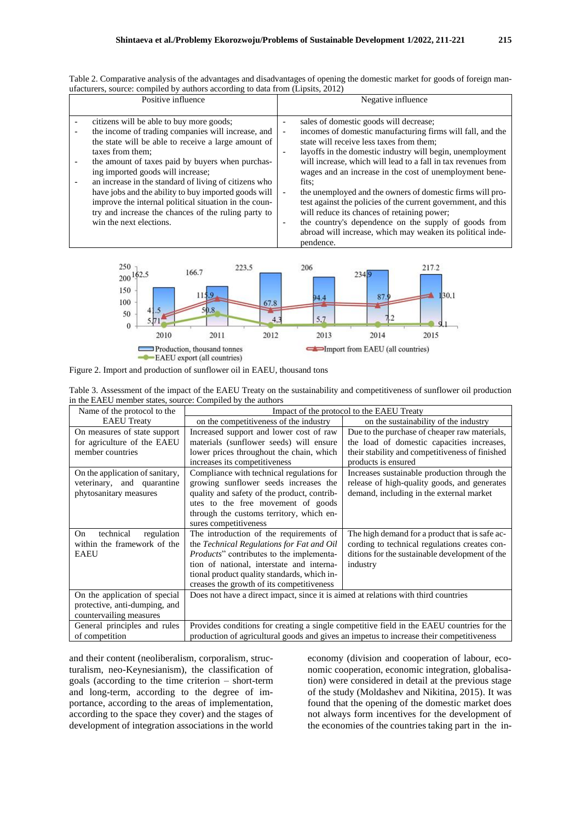Table 2. Comparative analysis of the advantages and disadvantages of opening the domestic market for goods of foreign manufacturers, source: compiled by authors according to data from (Lipsits, 2012)

| Positive influence                                                                                                                                                                                                                                                                                                                                                                                                                                                                                                             | Negative influence                                                                                                                                                                                                                                                                                                                                                                                                                                                                                                                                                                                                                                                                                                                                     |
|--------------------------------------------------------------------------------------------------------------------------------------------------------------------------------------------------------------------------------------------------------------------------------------------------------------------------------------------------------------------------------------------------------------------------------------------------------------------------------------------------------------------------------|--------------------------------------------------------------------------------------------------------------------------------------------------------------------------------------------------------------------------------------------------------------------------------------------------------------------------------------------------------------------------------------------------------------------------------------------------------------------------------------------------------------------------------------------------------------------------------------------------------------------------------------------------------------------------------------------------------------------------------------------------------|
| citizens will be able to buy more goods;<br>the income of trading companies will increase, and<br>the state will be able to receive a large amount of<br>taxes from them:<br>the amount of taxes paid by buyers when purchas-<br>ing imported goods will increase;<br>an increase in the standard of living of citizens who<br>have jobs and the ability to buy imported goods will<br>improve the internal political situation in the coun-<br>try and increase the chances of the ruling party to<br>win the next elections. | sales of domestic goods will decrease;<br>incomes of domestic manufacturing firms will fall, and the<br>$\overline{\phantom{a}}$<br>state will receive less taxes from them:<br>layoffs in the domestic industry will begin, unemployment<br>will increase, which will lead to a fall in tax revenues from<br>wages and an increase in the cost of unemployment bene-<br>fits:<br>the unemployed and the owners of domestic firms will pro-<br>$\overline{\phantom{a}}$<br>test against the policies of the current government, and this<br>will reduce its chances of retaining power;<br>the country's dependence on the supply of goods from<br>$\overline{\phantom{0}}$<br>abroad will increase, which may weaken its political inde-<br>pendence. |



Figure 2. Import and production of sunflower oil in EAEU, thousand tons

Table 3. Assessment of the impact of the EAEU Treaty on the sustainability and competitiveness of sunflower oil production in the EAEU member states, source: Compiled by the authors

| Name of the protocol to the                                                               | Impact of the protocol to the EAEU Treaty                                                                                                                                                                                                                                 |                                                                                                                                                                       |  |  |
|-------------------------------------------------------------------------------------------|---------------------------------------------------------------------------------------------------------------------------------------------------------------------------------------------------------------------------------------------------------------------------|-----------------------------------------------------------------------------------------------------------------------------------------------------------------------|--|--|
| <b>EAEU</b> Treaty                                                                        | on the competitiveness of the industry                                                                                                                                                                                                                                    | on the sustainability of the industry                                                                                                                                 |  |  |
| On measures of state support<br>for agriculture of the EAEU<br>member countries           | Increased support and lower cost of raw<br>materials (sunflower seeds) will ensure<br>lower prices throughout the chain, which<br>increases its competitiveness                                                                                                           | Due to the purchase of cheaper raw materials,<br>the load of domestic capacities increases,<br>their stability and competitiveness of finished<br>products is ensured |  |  |
| On the application of sanitary,<br>veterinary, and quarantine<br>phytosanitary measures   | Compliance with technical regulations for<br>growing sunflower seeds increases the<br>quality and safety of the product, contrib-<br>utes to the free movement of goods<br>through the customs territory, which en-<br>sures competitiveness                              | Increases sustainable production through the<br>release of high-quality goods, and generates<br>demand, including in the external market                              |  |  |
| technical<br>regulation<br>On<br>within the framework of the<br><b>EAEU</b>               | The introduction of the requirements of<br>the Technical Regulations for Fat and Oil<br>Products" contributes to the implementa-<br>tion of national, interstate and interna-<br>tional product quality standards, which in-<br>creases the growth of its competitiveness | The high demand for a product that is safe ac-<br>cording to technical regulations creates con-<br>ditions for the sustainable development of the<br>industry         |  |  |
| On the application of special<br>protective, anti-dumping, and<br>countervailing measures | Does not have a direct impact, since it is aimed at relations with third countries                                                                                                                                                                                        |                                                                                                                                                                       |  |  |
| General principles and rules<br>of competition                                            | Provides conditions for creating a single competitive field in the EAEU countries for the<br>production of agricultural goods and gives an impetus to increase their competitiveness                                                                                      |                                                                                                                                                                       |  |  |

and their content (neoliberalism, corporalism, structuralism, neo-Keynesianism), the classification of goals (according to the time criterion – short-term and long-term, according to the degree of importance, according to the areas of implementation, according to the space they cover) and the stages of development of integration associations in the world

economy (division and cooperation of labour, economic cooperation, economic integration, globalisation) were considered in detail at the previous stage of the study (Moldashev and Nikitina, 2015). It was found that the opening of the domestic market does not always form incentives for the development of the economies of the countries taking part in the in-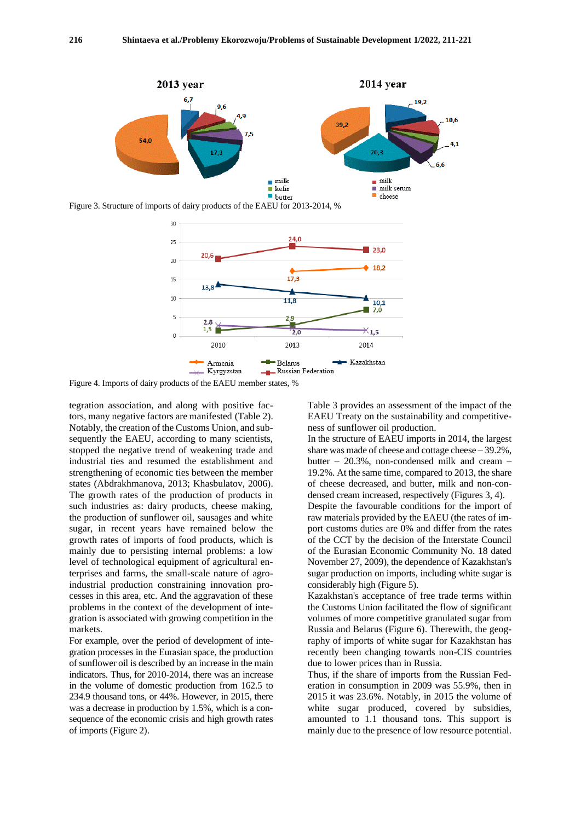

Figure 3. Structure of imports of dairy products of the EAEU for 2013-2014, %



Figure 4. Imports of dairy products of the EAEU member states, %

tegration association, and along with positive factors, many negative factors are manifested (Table 2). Notably, the creation of the Customs Union, and subsequently the EAEU, according to many scientists, stopped the negative trend of weakening trade and industrial ties and resumed the establishment and strengthening of economic ties between the member states (Abdrakhmanova, 2013; Khasbulatov, 2006). The growth rates of the production of products in such industries as: dairy products, cheese making, the production of sunflower oil, sausages and white sugar, in recent years have remained below the growth rates of imports of food products, which is mainly due to persisting internal problems: a low level of technological equipment of agricultural enterprises and farms, the small-scale nature of agroindustrial production constraining innovation processes in this area, etc. And the aggravation of these problems in the context of the development of integration is associated with growing competition in the markets.

For example, over the period of development of integration processes in the Eurasian space, the production of sunflower oil is described by an increase in the main indicators. Thus, for 2010-2014, there was an increase in the volume of domestic production from 162.5 to 234.9 thousand tons, or 44%. However, in 2015, there was a decrease in production by 1.5%, which is a consequence of the economic crisis and high growth rates of imports (Figure 2).

Table 3 provides an assessment of the impact of the EAEU Treaty on the sustainability and competitiveness of sunflower oil production.

In the structure of EAEU imports in 2014, the largest share was made of cheese and cottage cheese – 39.2%, butter –  $20.3\%$ , non-condensed milk and cream – 19.2%. At the same time, compared to 2013, the share of cheese decreased, and butter, milk and non-condensed cream increased, respectively (Figures 3, 4).

Despite the favourable conditions for the import of raw materials provided by the EAEU (the rates of import customs duties are 0% and differ from the rates of the CCT by the decision of the Interstate Council of the Eurasian Economic Community No. 18 dated November 27, 2009), the dependence of Kazakhstan's sugar production on imports, including white sugar is considerably high (Figure 5).

Kazakhstan's acceptance of free trade terms within the Customs Union facilitated the flow of significant volumes of more competitive granulated sugar from Russia and Belarus (Figure 6). Therewith, the geography of imports of white sugar for Kazakhstan has recently been changing towards non-CIS countries due to lower prices than in Russia.

Thus, if the share of imports from the Russian Federation in consumption in 2009 was 55.9%, then in 2015 it was 23.6%. Notably, in 2015 the volume of white sugar produced, covered by subsidies, amounted to 1.1 thousand tons. This support is mainly due to the presence of low resource potential.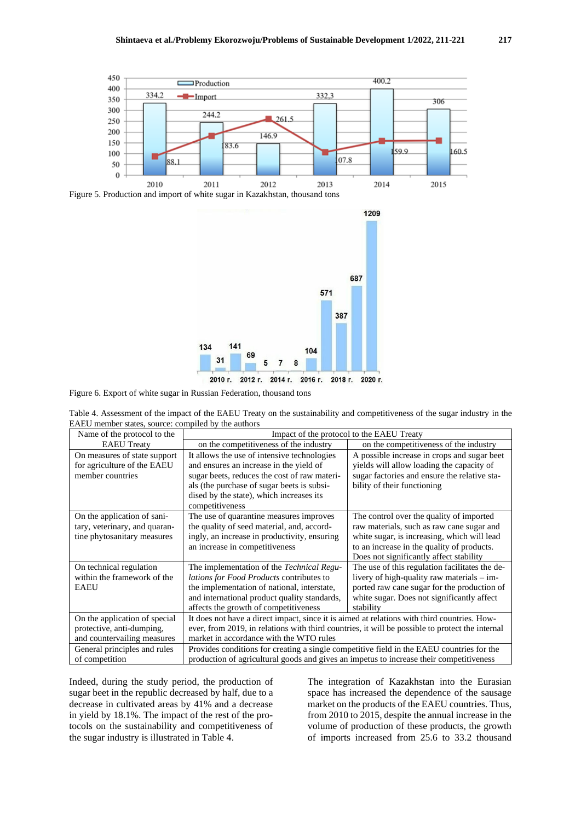

Figure 5. Production and import of white sugar in Kazakhstan, thousand tons



Figure 6. Export of white sugar in Russian Federation, thousand tons

| Table 4. Assessment of the impact of the EAEU Treaty on the sustainability and competitiveness of the sugar industry in the |  |  |  |  |
|-----------------------------------------------------------------------------------------------------------------------------|--|--|--|--|
| EAEU member states, source: compiled by the authors                                                                         |  |  |  |  |
|                                                                                                                             |  |  |  |  |

| Name of the protocol to the   | Impact of the protocol to the EAEU Treaty                                                       |                                                |  |  |
|-------------------------------|-------------------------------------------------------------------------------------------------|------------------------------------------------|--|--|
| <b>EAEU</b> Treaty            | on the competitiveness of the industry                                                          | on the competitiveness of the industry         |  |  |
| On measures of state support  | It allows the use of intensive technologies                                                     | A possible increase in crops and sugar beet    |  |  |
| for agriculture of the EAEU   | and ensures an increase in the yield of                                                         | yields will allow loading the capacity of      |  |  |
| member countries              | sugar beets, reduces the cost of raw materi-                                                    | sugar factories and ensure the relative sta-   |  |  |
|                               | als (the purchase of sugar beets is subsi-                                                      | bility of their functioning                    |  |  |
|                               | dised by the state), which increases its                                                        |                                                |  |  |
|                               | competitiveness                                                                                 |                                                |  |  |
| On the application of sani-   | The use of quarantine measures improves                                                         | The control over the quality of imported       |  |  |
| tary, veterinary, and quaran- | the quality of seed material, and, accord-                                                      | raw materials, such as raw cane sugar and      |  |  |
| tine phytosanitary measures   | ingly, an increase in productivity, ensuring                                                    | white sugar, is increasing, which will lead    |  |  |
|                               | an increase in competitiveness                                                                  | to an increase in the quality of products.     |  |  |
|                               |                                                                                                 | Does not significantly affect stability        |  |  |
| On technical regulation       | The implementation of the <i>Technical Regu-</i>                                                | The use of this regulation facilitates the de- |  |  |
| within the framework of the   | <i>lations for Food Products</i> contributes to                                                 | livery of high-quality raw materials $-$ im-   |  |  |
| <b>EAEU</b>                   | the implementation of national, interstate,                                                     | ported raw cane sugar for the production of    |  |  |
|                               | and international product quality standards,                                                    | white sugar. Does not significantly affect     |  |  |
|                               | affects the growth of competitiveness                                                           | stability                                      |  |  |
| On the application of special | It does not have a direct impact, since it is aimed at relations with third countries. How-     |                                                |  |  |
| protective, anti-dumping,     | ever, from 2019, in relations with third countries, it will be possible to protect the internal |                                                |  |  |
| and countervailing measures   | market in accordance with the WTO rules                                                         |                                                |  |  |
| General principles and rules  | Provides conditions for creating a single competitive field in the EAEU countries for the       |                                                |  |  |
| of competition                | production of agricultural goods and gives an impetus to increase their competitiveness         |                                                |  |  |

Indeed, during the study period, the production of sugar beet in the republic decreased by half, due to a decrease in cultivated areas by 41% and a decrease in yield by 18.1%. The impact of the rest of the protocols on the sustainability and competitiveness of the sugar industry is illustrated in Table 4.

The integration of Kazakhstan into the Eurasian space has increased the dependence of the sausage market on the products of the EAEU countries. Thus, from 2010 to 2015, despite the annual increase in the volume of production of these products, the growth of imports increased from 25.6 to 33.2 thousand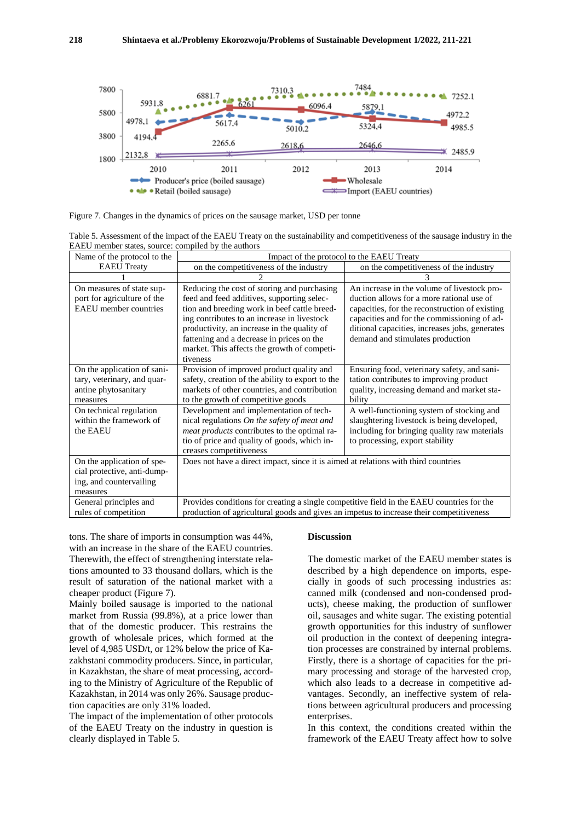

Figure 7. Changes in the dynamics of prices on the sausage market, USD per tonne

Table 5. Assessment of the impact of the EAEU Treaty on the sustainability and competitiveness of the sausage industry in the EAEU member states, source: compiled by the authors

| Name of the protocol to the                                                                      | Impact of the protocol to the EAEU Treaty                                                                                                                                                                                                                                                                                                       |                                                                                                                                                                                                                                                                                 |  |  |
|--------------------------------------------------------------------------------------------------|-------------------------------------------------------------------------------------------------------------------------------------------------------------------------------------------------------------------------------------------------------------------------------------------------------------------------------------------------|---------------------------------------------------------------------------------------------------------------------------------------------------------------------------------------------------------------------------------------------------------------------------------|--|--|
| <b>EAEU</b> Treaty                                                                               | on the competitiveness of the industry                                                                                                                                                                                                                                                                                                          | on the competitiveness of the industry                                                                                                                                                                                                                                          |  |  |
|                                                                                                  |                                                                                                                                                                                                                                                                                                                                                 |                                                                                                                                                                                                                                                                                 |  |  |
| On measures of state sup-<br>port for agriculture of the<br><b>EAEU</b> member countries         | Reducing the cost of storing and purchasing<br>feed and feed additives, supporting selec-<br>tion and breeding work in beef cattle breed-<br>ing contributes to an increase in livestock<br>productivity, an increase in the quality of<br>fattening and a decrease in prices on the<br>market. This affects the growth of competi-<br>tiveness | An increase in the volume of livestock pro-<br>duction allows for a more rational use of<br>capacities, for the reconstruction of existing<br>capacities and for the commissioning of ad-<br>ditional capacities, increases jobs, generates<br>demand and stimulates production |  |  |
| On the application of sani-<br>tary, veterinary, and quar-<br>antine phytosanitary<br>measures   | Provision of improved product quality and<br>safety, creation of the ability to export to the<br>markets of other countries, and contribution<br>to the growth of competitive goods                                                                                                                                                             | Ensuring food, veterinary safety, and sani-<br>tation contributes to improving product<br>quality, increasing demand and market sta-<br>bility                                                                                                                                  |  |  |
| On technical regulation<br>within the framework of<br>the EAEU                                   | Development and implementation of tech-<br>nical regulations On the safety of meat and<br><i>meat products</i> contributes to the optimal ra-<br>tio of price and quality of goods, which in-<br>creases competitiveness                                                                                                                        | A well-functioning system of stocking and<br>slaughtering livestock is being developed,<br>including for bringing quality raw materials<br>to processing, export stability                                                                                                      |  |  |
| On the application of spe-<br>cial protective, anti-dump-<br>ing, and countervailing<br>measures | Does not have a direct impact, since it is aimed at relations with third countries                                                                                                                                                                                                                                                              |                                                                                                                                                                                                                                                                                 |  |  |
| General principles and<br>rules of competition                                                   | Provides conditions for creating a single competitive field in the EAEU countries for the<br>production of agricultural goods and gives an impetus to increase their competitiveness                                                                                                                                                            |                                                                                                                                                                                                                                                                                 |  |  |

tons. The share of imports in consumption was 44%, with an increase in the share of the EAEU countries. Therewith, the effect of strengthening interstate relations amounted to 33 thousand dollars, which is the result of saturation of the national market with a cheaper product (Figure 7).

Mainly boiled sausage is imported to the national market from Russia (99.8%), at a price lower than that of the domestic producer. This restrains the growth of wholesale prices, which formed at the level of 4,985 USD/t, or 12% below the price of Kazakhstani commodity producers. Since, in particular, in Kazakhstan, the share of meat processing, according to the Ministry of Agriculture of the Republic of Kazakhstan, in 2014 was only 26%. Sausage production capacities are only 31% loaded.

The impact of the implementation of other protocols of the EAEU Treaty on the industry in question is clearly displayed in Table 5.

#### **Discussion**

The domestic market of the EAEU member states is described by a high dependence on imports, especially in goods of such processing industries as: canned milk (condensed and non-condensed products), cheese making, the production of sunflower oil, sausages and white sugar. The existing potential growth opportunities for this industry of sunflower oil production in the context of deepening integration processes are constrained by internal problems. Firstly, there is a shortage of capacities for the primary processing and storage of the harvested crop, which also leads to a decrease in competitive advantages. Secondly, an ineffective system of relations between agricultural producers and processing enterprises.

In this context, the conditions created within the framework of the EAEU Treaty affect how to solve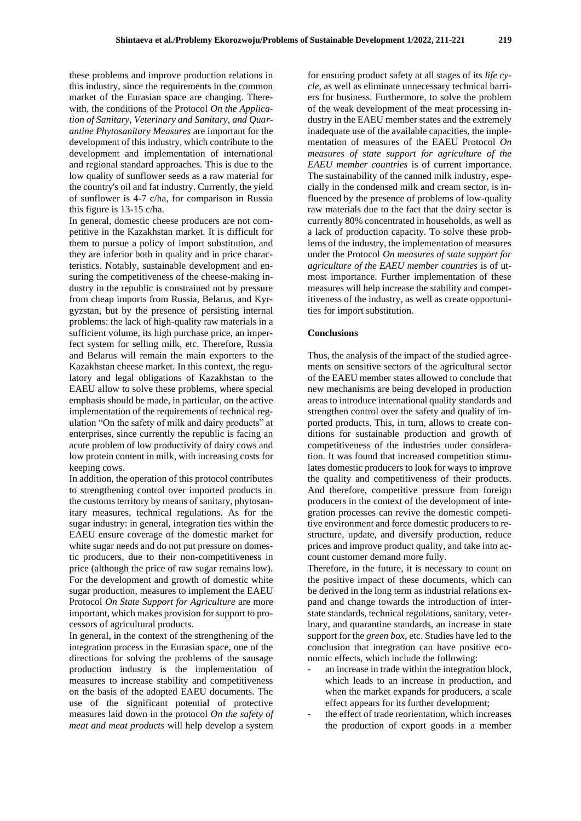these problems and improve production relations in this industry, since the requirements in the common market of the Eurasian space are changing. Therewith, the conditions of the Protocol *On the Application of Sanitary, Veterinary and Sanitary, and Quarantine Phytosanitary Measures* are important for the development of this industry, which contribute to the development and implementation of international and regional standard approaches. This is due to the low quality of sunflower seeds as a raw material for the country's oil and fat industry. Currently, the yield of sunflower is 4-7 c/ha, for comparison in Russia this figure is 13-15 c/ha.

In general, domestic cheese producers are not competitive in the Kazakhstan market. It is difficult for them to pursue a policy of import substitution, and they are inferior both in quality and in price characteristics. Notably, sustainable development and ensuring the competitiveness of the cheese-making industry in the republic is constrained not by pressure from cheap imports from Russia, Belarus, and Kyrgyzstan, but by the presence of persisting internal problems: the lack of high-quality raw materials in a sufficient volume, its high purchase price, an imperfect system for selling milk, etc. Therefore, Russia and Belarus will remain the main exporters to the Kazakhstan cheese market. In this context, the regulatory and legal obligations of Kazakhstan to the EAEU allow to solve these problems, where special emphasis should be made, in particular, on the active implementation of the requirements of technical regulation "On the safety of milk and dairy products" at enterprises, since currently the republic is facing an acute problem of low productivity of dairy cows and low protein content in milk, with increasing costs for keeping cows.

In addition, the operation of this protocol contributes to strengthening control over imported products in the customs territory by means of sanitary, phytosanitary measures, technical regulations. As for the sugar industry: in general, integration ties within the EAEU ensure coverage of the domestic market for white sugar needs and do not put pressure on domestic producers, due to their non-competitiveness in price (although the price of raw sugar remains low). For the development and growth of domestic white sugar production, measures to implement the EAEU Protocol *On State Support for Agriculture* are more important, which makes provision for support to processors of agricultural products.

In general, in the context of the strengthening of the integration process in the Eurasian space, one of the directions for solving the problems of the sausage production industry is the implementation of measures to increase stability and competitiveness on the basis of the adopted EAEU documents. The use of the significant potential of protective measures laid down in the protocol *On the safety of meat and meat products* will help develop a system

for ensuring product safety at all stages of its *life cycle*, as well as eliminate unnecessary technical barriers for business. Furthermore, to solve the problem of the weak development of the meat processing industry in the EAEU member states and the extremely inadequate use of the available capacities, the implementation of measures of the EAEU Protocol *On measures of state support for agriculture of the EAEU member countries* is of current importance. The sustainability of the canned milk industry, especially in the condensed milk and cream sector, is influenced by the presence of problems of low-quality raw materials due to the fact that the dairy sector is currently 80% concentrated in households, as well as a lack of production capacity. To solve these problems of the industry, the implementation of measures under the Protocol *On measures of state support for agriculture of the EAEU member countries* is of utmost importance. Further implementation of these measures will help increase the stability and competitiveness of the industry, as well as create opportunities for import substitution.

#### **Conclusions**

Thus, the analysis of the impact of the studied agreements on sensitive sectors of the agricultural sector of the EAEU member states allowed to conclude that new mechanisms are being developed in production areas to introduce international quality standards and strengthen control over the safety and quality of imported products. This, in turn, allows to create conditions for sustainable production and growth of competitiveness of the industries under consideration. It was found that increased competition stimulates domestic producers to look for ways to improve the quality and competitiveness of their products. And therefore, competitive pressure from foreign producers in the context of the development of integration processes can revive the domestic competitive environment and force domestic producers to restructure, update, and diversify production, reduce prices and improve product quality, and take into account customer demand more fully.

Therefore, in the future, it is necessary to count on the positive impact of these documents, which can be derived in the long term as industrial relations expand and change towards the introduction of interstate standards, technical regulations, sanitary, veterinary, and quarantine standards, an increase in state support for the *green box*, etc. Studies have led to the conclusion that integration can have positive economic effects, which include the following:

- an increase in trade within the integration block, which leads to an increase in production, and when the market expands for producers, a scale effect appears for its further development;
- the effect of trade reorientation, which increases the production of export goods in a member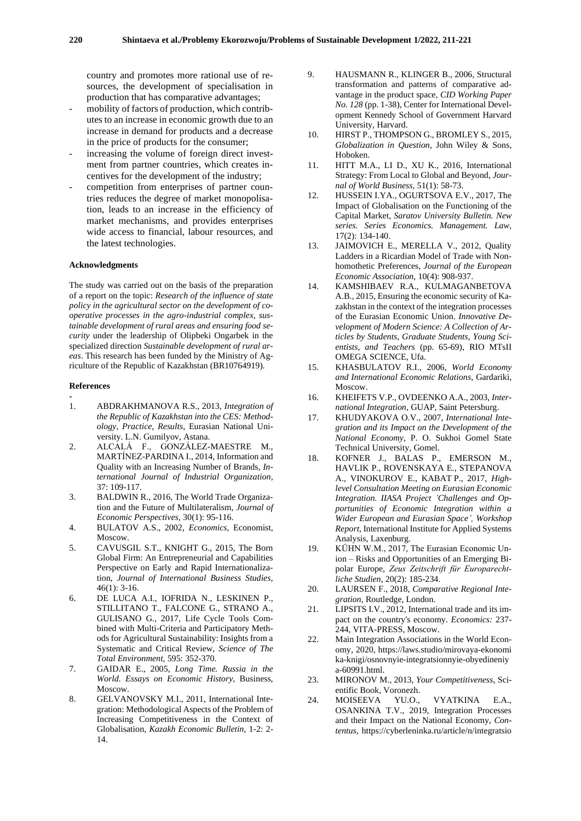country and promotes more rational use of resources, the development of specialisation in production that has comparative advantages;

- mobility of factors of production, which contributes to an increase in economic growth due to an increase in demand for products and a decrease in the price of products for the consumer;
- increasing the volume of foreign direct investment from partner countries, which creates incentives for the development of the industry;
- competition from enterprises of partner countries reduces the degree of market monopolisation, leads to an increase in the efficiency of market mechanisms, and provides enterprises wide access to financial, labour resources, and the latest technologies.

#### **Acknowledgments**

The study was carried out on the basis of the preparation of a report on the topic: *Research of the influence of state policy in the agricultural sector on the development of cooperative processes in the agro-industrial complex, sustainable development of rural areas and ensuring food security* under the leadership of Olipbeki Ongarbek in the specialized direction *Sustainable development of rural areas*. This research has been funded by the Ministry of Agriculture of the Republic of Kazakhstan (BR10764919).

#### **References**

- **-** 1. ABDRAKHMANOVA R.S., 2013, *Integration of the Republic of Kazakhstan into the CES: Methodology, Practice, Results*, Eurasian National Uni
	- versity. L.N. Gumilyov, Astana. 2. ALCALÁ F., GONZÁLEZ-MAESTRE M., MARTÍNEZ-PARDINA I., 2014, Information and Quality with an Increasing Number of Brands, *International Journal of Industrial Organization,* 37: 109-117.
	- 3. BALDWIN R., 2016, The World Trade Organization and the Future of Multilateralism, *Journal of Economic Perspectives,* 30(1): 95-116.
	- 4. BULATOV A.S., 2002, *Economics*, Economist, Moscow.
	- 5. CAVUSGIL S.T., KNIGHT G., 2015, The Born Global Firm: An Entrepreneurial and Capabilities Perspective on Early and Rapid Internationalization, *Journal of International Business Studies,* 46(1): 3-16.
	- 6. DE LUCA A.I., IOFRIDA N., LESKINEN P., STILLITANO T., FALCONE G., STRANO A., GULISANO G., 2017, Life Cycle Tools Combined with Multi-Criteria and Participatory Methods for Agricultural Sustainability: Insights from a Systematic and Critical Review, *Science of The Total Environment,* 595: 352-370.
	- 7. GAIDAR E., 2005, *Long Time. Russia in the World. Essays on Economic History*, Business, Moscow.
	- 8. GELVANOVSKY M.I., 2011, International Integration: Methodological Aspects of the Problem of Increasing Competitiveness in the Context of Globalisation, *Kazakh Economic Bulletin,* 1-2: 2- 14.
- 9. HAUSMANN R., KLINGER B., 2006, Structural transformation and patterns of comparative advantage in the product space, *CID Working Paper No. 128* (pp. 1-38), Center for International Development Kennedy School of Government Harvard University, Harvard.
- 10. HIRST P., THOMPSON G., BROMLEY S., 2015, *Globalization in Question*, John Wiley & Sons, Hoboken.
- 11. HITT M.A., LI D., XU K., 2016, International Strategy: From Local to Global and Beyond, *Journal of World Business,* 51(1): 58-73.
- 12. HUSSEIN I.YA., OGURTSOVA E.V., 2017, The Impact of Globalisation on the Functioning of the Capital Market, *Saratov University Bulletin. New series. Series Economics. Management. Law,* 17(2): 134-140.
- 13. JAIMOVICH E., MERELLA V., 2012, Quality Ladders in a Ricardian Model of Trade with Nonhomothetic Preferences, *Journal of the European Economic Association,* 10(4): 908-937.
- 14. KAMSHIBAEV R.A., KULMAGANBETOVA A.B., 2015, Ensuring the economic security of Kazakhstan in the context of the integration processes of the Eurasian Economic Union. *Innovative Development of Modern Science: A Collection of Articles by Students, Graduate Students, Young Scientists, and Teachers* (pp. 65-69), RIO MTsII OMEGA SCIENCE, Ufa.
- 15. KHASBULATOV R.I., 2006, *World Economy and International Economic Relations*, Gardariki, Moscow.
- 16. KHEIFETS V.P., OVDEENKO A.A., 2003, *International Integration*, GUAP, Saint Petersburg.
- 17. KHUDYAKOVA O.V., 2007, *International Integration and its Impact on the Development of the National Economy*, P. O. Sukhoi Gomel State Technical University, Gomel.
- 18. KOFNER J., BALAS P., EMERSON M., HAVLIK P., ROVENSKAYA E., STEPANOVA A., VINOKUROV E., KABAT P., 2017, *Highlevel Consultation Meeting on Eurasian Economic Integration. IIASA Project 'Challenges and Opportunities of Economic Integration within a Wider European and Eurasian Space', Workshop Report,* International Institute for Applied Systems Analysis, Laxenburg.
- 19. KÜHN W.M., 2017, The Eurasian Economic Union – Risks and Opportunities of an Emerging Bipolar Europe, *Zeus Zeitschrift für Europarechtliche Studien*, 20(2): 185-234.
- 20. LAURSEN F., 2018, *Comparative Regional Integration*, Routledge, London.
- 21. LIPSITS I.V., 2012, International trade and its impact on the country's economy. *Economics:* 237- 244, VITA-PRESS, Moscow.
- 22. Main Integration Associations in the World Economy, 2020, https://laws.studio/mirovaya-ekonomi ka-knigi/osnovnyie-integratsionnyie-obyedineniy a-60991.html.
- 23. MIRONOV M., 2013, *Your Competitiveness*, Scientific Book, Voronezh.
- 24. MOISEEVA YU.O., VYATKINA E.A., OSANKINA T.V., 2019, Integration Processes and their Impact on the National Economy, *Contentus*, https://cyberleninka.ru/article/n/integratsio